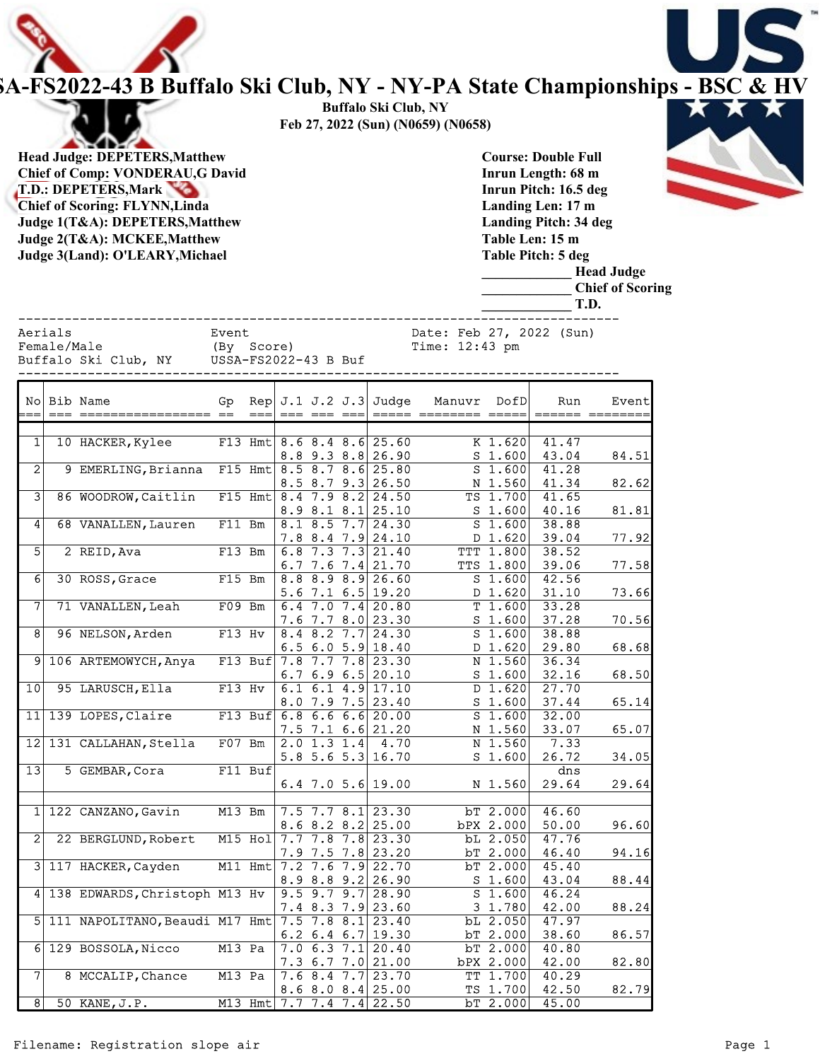

## $SLA-FS2022-43$  B Buffalo Ski Club, NY - NY-PA State Championships - BSC & HV

Buffalo Ski Club, NY **State of the Ski Club** Feb 27, 2022 (Sun) (N0659) (N0658)

Head Judge: DEPETERS,Matthew Chief of Comp: VONDERAU,G David T.D.: DEPETERS, Mark Chief of Scoring: FLYNN,Linda Judge 1(T&A): DEPETERS,Matthew Judge 2(T&A): MCKEE,Matthew Judge 3(Land): O'LEARY,Michael

Course: Double Full Inrun Length: 68 m Inrun Pitch: 16.5 deg Landing Len: 17 m Landing Pitch: 34 deg Table Len: 15 m Table Pitch: 5 deg

| JUQUE JULANO); O LEANY, MICHAEI                |                                               | Table Pitch: 5 deg<br><b>Head Judge</b><br><b>Chief of Scoring</b><br>T.D. |
|------------------------------------------------|-----------------------------------------------|----------------------------------------------------------------------------|
| Aerials<br>Female/Male<br>Buffalo Ski Club, NY | Event<br>(By Score)<br>$USSA-FS2022-43 B But$ | Date: Feb 27, 2022 (Sun)<br>Time: $12:43$ pm                               |
| No Bib Name                                    | Rep $J.1 J.2 J.3$ Judge<br>Gp                 | Manuvr DofD<br>Run<br>Eventl                                               |

|                 |                                                    |          |           |  |                                                        |                  |                 | ====== ======= |
|-----------------|----------------------------------------------------|----------|-----------|--|--------------------------------------------------------|------------------|-----------------|----------------|
|                 |                                                    |          |           |  |                                                        |                  |                 |                |
| 1               | 10 HACKER, Kylee                                   |          |           |  | F13 Hmt $8.6$ $8.4$ $8.6$ $25.60$                      | $K$ 1.620        | 41.47           |                |
|                 |                                                    |          |           |  | $8.8$ 9.3 $8.8$ 26.90                                  | $S_1.600$        | 43.04           | 84.51          |
| $\overline{2}$  | 9 EMERLING, Brianna F15 Hmt 8.5 8.7 8.6 25.80      |          |           |  |                                                        | $S$ 1.600        | 41.28           |                |
|                 |                                                    |          |           |  | $8.5$ $8.7$ $9.3$ $26.50$                              | $N$ 1.560        | 41.34           | 82.62          |
| $\vert 3 \vert$ | 86 WOODROW, Caitlin F15 Hmt 8.4 7.9 8.2 24.50      |          |           |  |                                                        | $TS$ 1.700       | 41.65           |                |
|                 |                                                    |          |           |  | $8.9$ $8.1$ $8.1$ $25.10$                              | $S$ 1.600        | 40.16           | 81.81          |
| 4               | 68 VANALLEN, Lauren                                | $F11$ Bm |           |  | 8.1 8.5 7.7 $2\overline{4.30}$                         | $S$ 1.600        | 38.88           |                |
|                 |                                                    |          |           |  | $7.8$ 8.4 7.9 24.10                                    | D 1.620          | 39.04           | 77.92          |
| $\overline{5}$  | $2$ REID, Ava                                      |          |           |  |                                                        | <b>TTT 1.800</b> | 38.52           |                |
|                 |                                                    |          |           |  | 6.7 7.6 7.4 $21.70$                                    | $TTS$ 1.800      | 39.06           | 77.58          |
| $6 \mid$        | 30 ROSS, Grace                                     |          |           |  | $\boxed{\text{F15 Bm}$ 8.8 8.9 8.9 26.60               | $S$ 1.600        | 42.56           |                |
|                 |                                                    |          |           |  | 5.6 7.1 6.5 19.20                                      | D 1.620          | 31.10           | 73.66          |
| 71              | 71 VANALLEN, Leah                                  |          |           |  |                                                        |                  | $T$ 1.600 33.28 |                |
|                 |                                                    |          |           |  | $7.6$ $7.7$ $8.0$ 23.30                                | $S$ 1.600        | 37.28           | 70.56          |
| $\overline{8}$  | 96 NELSON, Arden                                   | F13 Hv   |           |  | $8.4$ $8.2$ $7.7$ $24.30$                              | $S$ 1.600        | 38.88           |                |
|                 |                                                    |          |           |  | 6.5 6.0 5.9 18.40                                      | D 1.620          | 29.80           | 68.68          |
|                 | 9 106 ARTEMOWYCH, Anya F13 Buf 7.8 7.7 7.8 23.30   |          |           |  |                                                        | N 1.560          | 36.34           |                |
|                 |                                                    |          |           |  | $6.7$ $6.9$ $6.5$ 20.10                                | $S$ 1.600        | 32.16           | 68.50          |
| 10              | 95 LARUSCH, Ella                                   | $F13$ Hv |           |  | $6.1$ $6.1$ $4.9$ $17.10$                              | D 1.620          | 27.70           |                |
|                 |                                                    |          |           |  | $8.0$ 7.9 7.5 23.40                                    | $S$ 1.600        | 37.44           | 65.14          |
|                 | 11 139 LOPES, Claire                               |          |           |  | F13 Buf $6.8$ 6.6 6.6 20.00                            | $S$ 1.600        | 32.00           |                |
|                 |                                                    |          |           |  | $7.5$ $7.1$ $6.6$ 21.20                                | $N$ 1.560        | 33.07           | 65.07          |
|                 | 12 131 CALLAHAN, Stella F07 Bm                     |          |           |  | $\begin{vmatrix} 2.0 & 1.3 & 1.4 & 4.70 \end{vmatrix}$ | N 1.560          | 7.33            |                |
|                 |                                                    |          |           |  | 5.8 5.6 5.3 16.70                                      | $S$ 1.600        | 26.72           | 34.05          |
| 13              | 5 GEMBAR, Cora                                     |          | $F11$ Buf |  |                                                        |                  | dns             |                |
|                 |                                                    |          |           |  | $6.4$ 7.0 5.6 19.00                                    | N 1.560          | 29.64           | 29.64          |
|                 |                                                    |          |           |  |                                                        |                  |                 |                |
|                 | 1 122 CANZANO, Gavin                               |          |           |  |                                                        | bT 2.000         | 46.60           |                |
|                 |                                                    |          |           |  | $8.6$ $8.2$ $8.2$ $25.00$                              | bPX 2.000        | 50.00           | 96.60          |
| $\mathbf{2}$    | 22 BERGLUND, Robert M15 Hol 7.7 7.8 7.8 23.30      |          |           |  |                                                        | bL 2.050         | 47.76           |                |
|                 |                                                    |          |           |  | $7.9$ $7.5$ $7.8$ 23.20                                | bT 2.000         | 46.40           | 94.16          |
|                 | 3 117 HACKER, Cayden                               |          |           |  | M11 Hmt 7.2 7.6 7.9 22.70                              | bT 2.000         | 45.40           |                |
|                 |                                                    |          |           |  | $8.9$ $8.8$ $9.2$ 26.90                                | $S$ 1.600        | 43.04           | 88.44          |
|                 | 4 138 EDWARDS, Christoph M13 Hv 9.5 9.7 9.7 28.90  |          |           |  |                                                        | $S$ 1.600        | 46.24           |                |
|                 |                                                    |          |           |  | $7.4$ 8.3 7.9 23.60                                    | $3 \; 1.780$     | 42.00           | 88.24          |
|                 | 5 111 NAPOLITANO, Beaudi M17 Hmt 7.5 7.8 8.1 23.40 |          |           |  |                                                        | bL 2.050         | 47.97           |                |
|                 |                                                    |          |           |  | 6.2 6.4 6.7 19.30                                      | bT 2.000         | 38.60           | 86.57          |
|                 | $6 129$ BOSSOLA, Nicco                             |          |           |  | M13 Pa $ 7.0 6.3 7.1  20.40$                           | $bT$ 2.000       | 40.80           |                |
|                 |                                                    |          |           |  | $7.3$ 6.7 7.0 21.00                                    | bPX 2.000        | 42.00           | 82.80          |
| 7               | 8 MCCALIP, Chance                                  | M13 Pa   |           |  | $7.6$ 8.4 7.7 23.70                                    | TT 1.700         | 40.29           |                |
|                 |                                                    |          |           |  | $8.6$ $8.0$ $8.4$ 25.00                                | TS 1.700         | 42.50           | 82.79          |
| $\overline{8}$  | $50$ KANE, $J.P.$                                  |          |           |  | M13 Hmt 7.7 7.4 7.4 22.50                              | bT 2.000         | 45.00           |                |

## Filename: Registration slope air et al. Page 1 and 2008 and 2008 and 2008 and 2008 and 2008 and 2008 and 2008 and 2008 and 2008 and 2008 and 2008 and 2008 and 2008 and 2008 and 2008 and 2008 and 2008 and 2008 and 2008 and